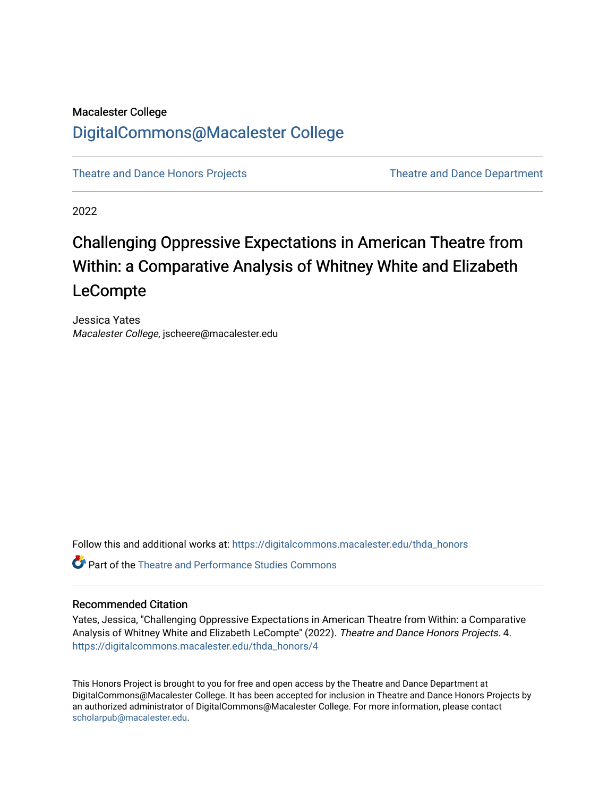# Macalester College [DigitalCommons@Macalester College](https://digitalcommons.macalester.edu/)

[Theatre and Dance Honors Projects](https://digitalcommons.macalester.edu/thda_honors) [Theatre and Dance Department](https://digitalcommons.macalester.edu/theateranddance) 

2022

# Challenging Oppressive Expectations in American Theatre from Within: a Comparative Analysis of Whitney White and Elizabeth LeCompte

Jessica Yates Macalester College, jscheere@macalester.edu

Follow this and additional works at: [https://digitalcommons.macalester.edu/thda\\_honors](https://digitalcommons.macalester.edu/thda_honors?utm_source=digitalcommons.macalester.edu%2Fthda_honors%2F4&utm_medium=PDF&utm_campaign=PDFCoverPages) 

Part of the [Theatre and Performance Studies Commons](https://network.bepress.com/hgg/discipline/552?utm_source=digitalcommons.macalester.edu%2Fthda_honors%2F4&utm_medium=PDF&utm_campaign=PDFCoverPages) 

# Recommended Citation

Yates, Jessica, "Challenging Oppressive Expectations in American Theatre from Within: a Comparative Analysis of Whitney White and Elizabeth LeCompte" (2022). Theatre and Dance Honors Projects. 4. [https://digitalcommons.macalester.edu/thda\\_honors/4](https://digitalcommons.macalester.edu/thda_honors/4?utm_source=digitalcommons.macalester.edu%2Fthda_honors%2F4&utm_medium=PDF&utm_campaign=PDFCoverPages)

This Honors Project is brought to you for free and open access by the Theatre and Dance Department at DigitalCommons@Macalester College. It has been accepted for inclusion in Theatre and Dance Honors Projects by an authorized administrator of DigitalCommons@Macalester College. For more information, please contact [scholarpub@macalester.edu](mailto:scholarpub@macalester.edu).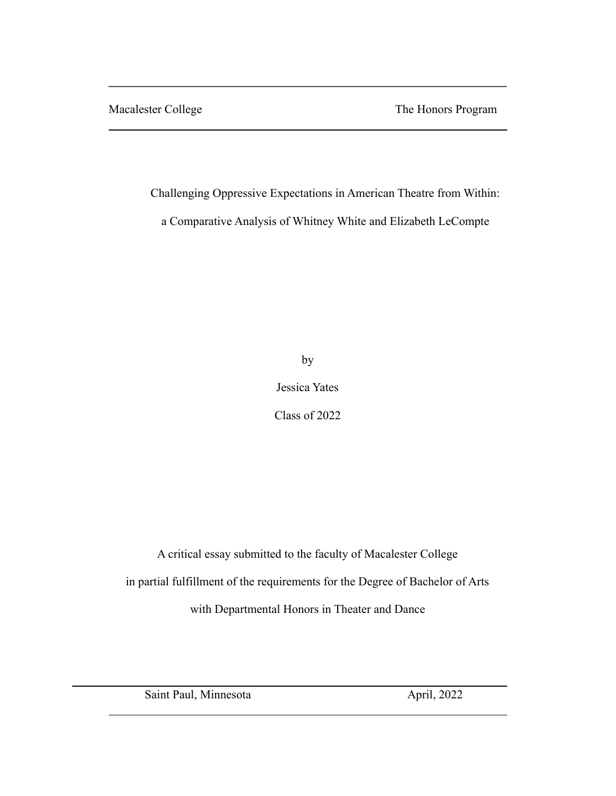Macalester College The Honors Program

Challenging Oppressive Expectations in American Theatre from Within:

 $\mathcal{L} = \{ \mathcal{L} \mathcal{L} \mathcal{L} \mathcal{L} \mathcal{L} \mathcal{L} \mathcal{L} \mathcal{L} \mathcal{L} \mathcal{L} \mathcal{L} \mathcal{L} \mathcal{L} \mathcal{L} \mathcal{L} \mathcal{L} \mathcal{L} \mathcal{L} \mathcal{L} \mathcal{L} \mathcal{L} \mathcal{L} \mathcal{L} \mathcal{L} \mathcal{L} \mathcal{L} \mathcal{L} \mathcal{L} \mathcal{L} \mathcal{L} \mathcal{L} \mathcal{L} \mathcal{L} \mathcal{L} \mathcal{L} \$ 

a Comparative Analysis of Whitney White and Elizabeth LeCompte

by

Jessica Yates

Class of 2022

A critical essay submitted to the faculty of Macalester College in partial fulfillment of the requirements for the Degree of Bachelor of Arts with Departmental Honors in Theater and Dance

Saint Paul, Minnesota April, 2022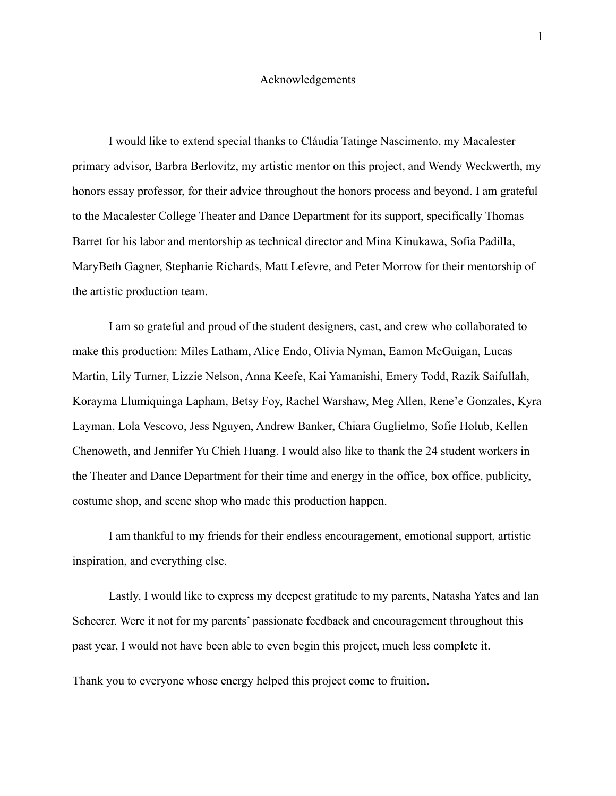## Acknowledgements

I would like to extend special thanks to Cláudia Tatinge Nascimento, my Macalester primary advisor, Barbra Berlovitz, my artistic mentor on this project, and Wendy Weckwerth, my honors essay professor, for their advice throughout the honors process and beyond. I am grateful to the Macalester College Theater and Dance Department for its support, specifically Thomas Barret for his labor and mentorship as technical director and Mina Kinukawa, Sofía Padilla, MaryBeth Gagner, Stephanie Richards, Matt Lefevre, and Peter Morrow for their mentorship of the artistic production team.

I am so grateful and proud of the student designers, cast, and crew who collaborated to make this production: Miles Latham, Alice Endo, Olivia Nyman, Eamon McGuigan, Lucas Martin, Lily Turner, Lizzie Nelson, Anna Keefe, Kai Yamanishi, Emery Todd, Razik Saifullah, Korayma Llumiquinga Lapham, Betsy Foy, Rachel Warshaw, Meg Allen, Rene'e Gonzales, Kyra Layman, Lola Vescovo, Jess Nguyen, Andrew Banker, Chiara Guglielmo, Sofie Holub, Kellen Chenoweth, and Jennifer Yu Chieh Huang. I would also like to thank the 24 student workers in the Theater and Dance Department for their time and energy in the office, box office, publicity, costume shop, and scene shop who made this production happen.

I am thankful to my friends for their endless encouragement, emotional support, artistic inspiration, and everything else.

Lastly, I would like to express my deepest gratitude to my parents, Natasha Yates and Ian Scheerer. Were it not for my parents' passionate feedback and encouragement throughout this past year, I would not have been able to even begin this project, much less complete it.

Thank you to everyone whose energy helped this project come to fruition.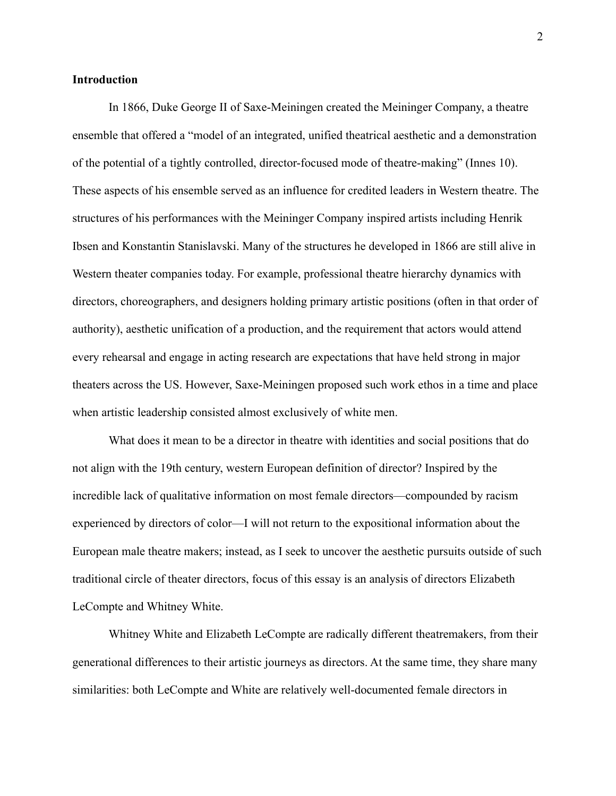# **Introduction**

In 1866, Duke George II of Saxe-Meiningen created the Meininger Company, a theatre ensemble that offered a "model of an integrated, unified theatrical aesthetic and a demonstration of the potential of a tightly controlled, director-focused mode of theatre-making" (Innes 10). These aspects of his ensemble served as an influence for credited leaders in Western theatre. The structures of his performances with the Meininger Company inspired artists including Henrik Ibsen and Konstantin Stanislavski. Many of the structures he developed in 1866 are still alive in Western theater companies today. For example, professional theatre hierarchy dynamics with directors, choreographers, and designers holding primary artistic positions (often in that order of authority), aesthetic unification of a production, and the requirement that actors would attend every rehearsal and engage in acting research are expectations that have held strong in major theaters across the US. However, Saxe-Meiningen proposed such work ethos in a time and place when artistic leadership consisted almost exclusively of white men.

What does it mean to be a director in theatre with identities and social positions that do not align with the 19th century, western European definition of director? Inspired by the incredible lack of qualitative information on most female directors—compounded by racism experienced by directors of color—I will not return to the expositional information about the European male theatre makers; instead, as I seek to uncover the aesthetic pursuits outside of such traditional circle of theater directors, focus of this essay is an analysis of directors Elizabeth LeCompte and Whitney White.

Whitney White and Elizabeth LeCompte are radically different theatremakers, from their generational differences to their artistic journeys as directors. At the same time, they share many similarities: both LeCompte and White are relatively well-documented female directors in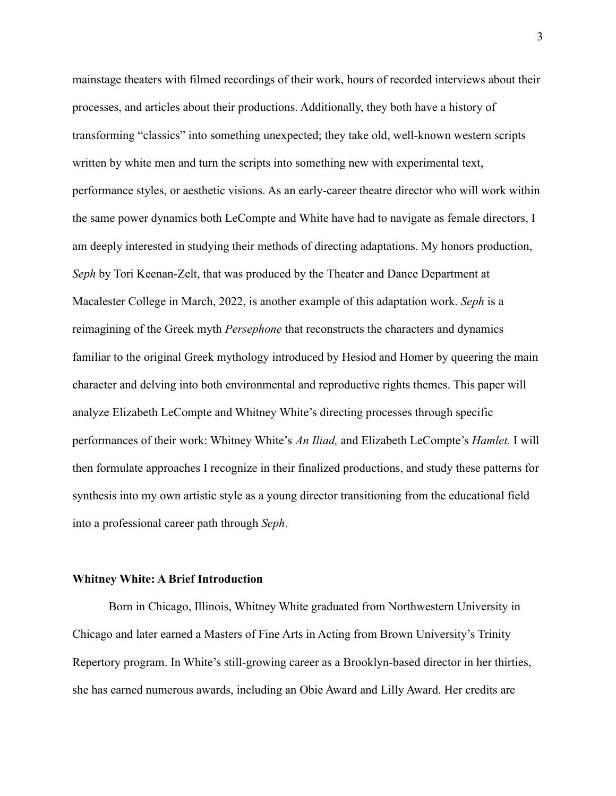mainstage theaters with filmed recordings of their work, hours of recorded interviews about their processes, and articles about their productions. Additionally, they both have a history of transforming "classics" into something unexpected; they take old, well-known western scripts written by white men and turn the scripts into something new with experimental text, performance styles, or aesthetic visions. As an early-career theatre director who will work within the same power dynamics both LeCompte and White have had to navigate as female directors, I am deeply interested in studying their methods of directing adaptations. My honors production, *Seph* by Tori Keenan-Zelt, that was produced by the Theater and Dance Department at Macalester College in March, 2022, is another example of this adaptation work. *Seph* is a reimagining of the Greek myth *Persephone* that reconstructs the characters and dynamics familiar to the original Greek mythology introduced by Hesiod and Homer by queering the main character and delving into both environmental and reproductive rights themes. This paper will analyze Elizabeth LeCompte and Whitney White's directing processes through specific performances of their work: Whitney White's *An Iliad,* and Elizabeth LeCompte's *Hamlet.* I will then formulate approaches I recognize in their finalized productions, and study these patterns for synthesis into my own artistic style as a young director transitioning from the educational field into a professional career path through *Seph*.

#### **Whitney White: A Brief Introduction**

Born in Chicago, Illinois, Whitney White graduated from Northwestern University in Chicago and later earned a Masters of Fine Arts in Acting from Brown University's Trinity Repertory program. In White's still-growing career as a Brooklyn-based director in her thirties, she has earned numerous awards, including an Obie Award and Lilly Award. Her credits are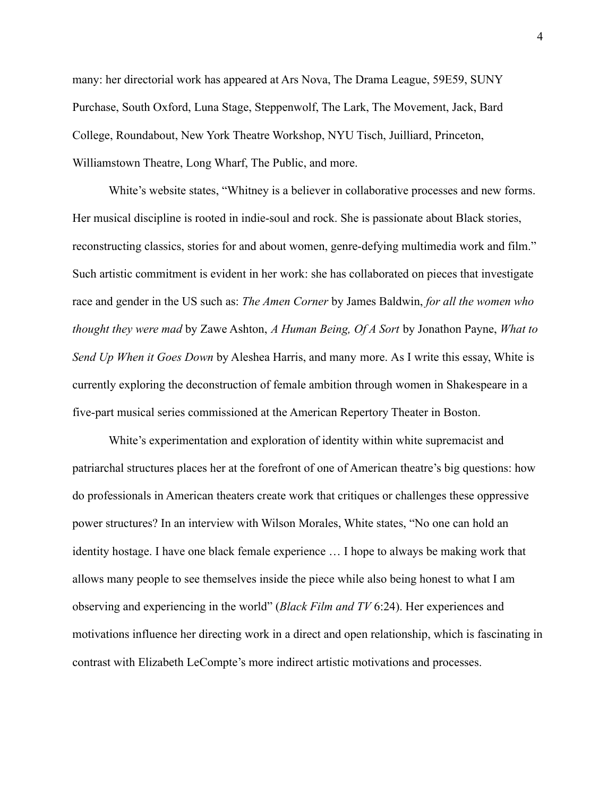many: her directorial work has appeared at Ars Nova, The Drama League, 59E59, SUNY Purchase, South Oxford, Luna Stage, Steppenwolf, The Lark, The Movement, Jack, Bard College, Roundabout, New York Theatre Workshop, NYU Tisch, Juilliard, Princeton, Williamstown Theatre, Long Wharf, The Public, and more.

White's website states, "Whitney is a believer in collaborative processes and new forms. Her musical discipline is rooted in indie-soul and rock. She is passionate about Black stories, reconstructing classics, stories for and about women, genre-defying multimedia work and film." Such artistic commitment is evident in her work: she has collaborated on pieces that investigate race and gender in the US such as: *The Amen Corner* by James Baldwin, *for all the women who thought they were mad* by Zawe Ashton, *A Human Being, Of A Sort* by Jonathon Payne, *What to Send Up When it Goes Down* by Aleshea Harris, and many more. As I write this essay, White is currently exploring the deconstruction of female ambition through women in Shakespeare in a five-part musical series commissioned at the American Repertory Theater in Boston.

White's experimentation and exploration of identity within white supremacist and patriarchal structures places her at the forefront of one of American theatre's big questions: how do professionals in American theaters create work that critiques or challenges these oppressive power structures? In an interview with Wilson Morales, White states, "No one can hold an identity hostage. I have one black female experience … I hope to always be making work that allows many people to see themselves inside the piece while also being honest to what I am observing and experiencing in the world" (*Black Film and TV* 6:24). Her experiences and motivations influence her directing work in a direct and open relationship, which is fascinating in contrast with Elizabeth LeCompte's more indirect artistic motivations and processes.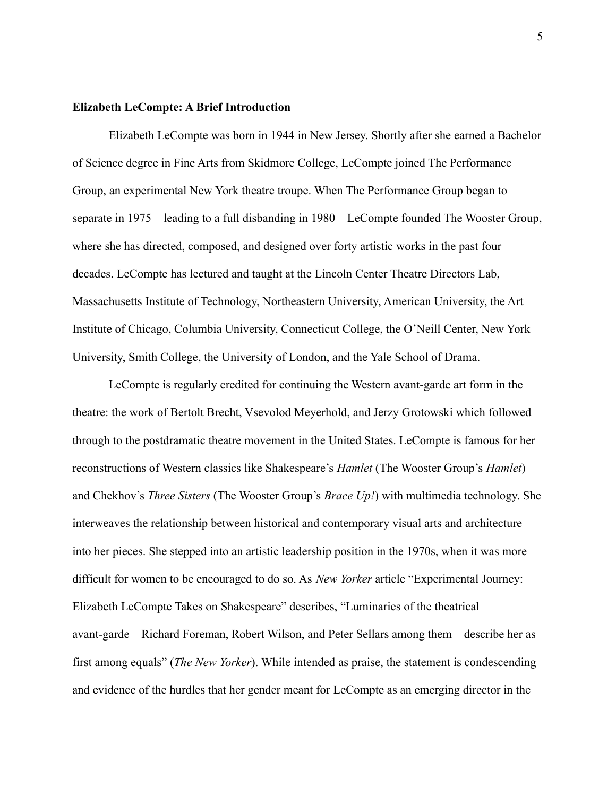# **Elizabeth LeCompte: A Brief Introduction**

Elizabeth LeCompte was born in 1944 in New Jersey. Shortly after she earned a Bachelor of Science degree in Fine Arts from Skidmore College, LeCompte joined The Performance Group, an experimental New York theatre troupe. When The Performance Group began to separate in 1975—leading to a full disbanding in 1980—LeCompte founded The Wooster Group, where she has directed, composed, and designed over forty artistic works in the past four decades. LeCompte has lectured and taught at the Lincoln Center Theatre Directors Lab, Massachusetts Institute of Technology, Northeastern University, American University, the Art Institute of Chicago, Columbia University, Connecticut College, the O'Neill Center, New York University, Smith College, the University of London, and the Yale School of Drama.

LeCompte is regularly credited for continuing the Western avant-garde art form in the theatre: the work of Bertolt Brecht, Vsevolod Meyerhold, and Jerzy Grotowski which followed through to the postdramatic theatre movement in the United States. LeCompte is famous for her reconstructions of Western classics like Shakespeare's *Hamlet* (The Wooster Group's *Hamlet*) and Chekhov's *Three Sisters* (The Wooster Group's *Brace Up!*) with multimedia technology. She interweaves the relationship between historical and contemporary visual arts and architecture into her pieces. She stepped into an artistic leadership position in the 1970s, when it was more difficult for women to be encouraged to do so. As *New Yorker* article "Experimental Journey: Elizabeth LeCompte Takes on Shakespeare" describes, "Luminaries of the theatrical avant-garde—Richard Foreman, Robert Wilson, and Peter Sellars among them—describe her as first among equals" (*The New Yorker*). While intended as praise, the statement is condescending and evidence of the hurdles that her gender meant for LeCompte as an emerging director in the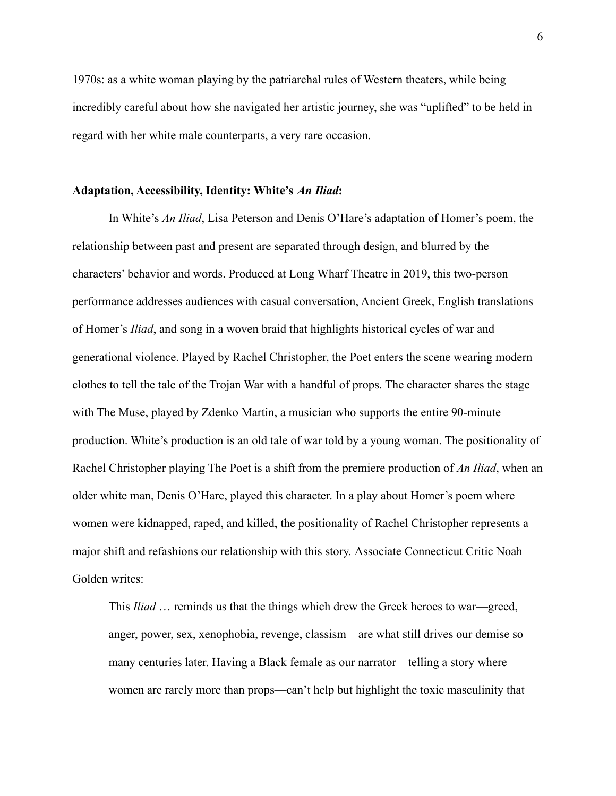1970s: as a white woman playing by the patriarchal rules of Western theaters, while being incredibly careful about how she navigated her artistic journey, she was "uplifted" to be held in regard with her white male counterparts, a very rare occasion.

#### **Adaptation, Accessibility, Identity: White's** *An Iliad***:**

In White's *An Iliad*, Lisa Peterson and Denis O'Hare's adaptation of Homer's poem, the relationship between past and present are separated through design, and blurred by the characters' behavior and words. Produced at Long Wharf Theatre in 2019, this two-person performance addresses audiences with casual conversation, Ancient Greek, English translations of Homer's *Iliad*, and song in a woven braid that highlights historical cycles of war and generational violence. Played by Rachel Christopher, the Poet enters the scene wearing modern clothes to tell the tale of the Trojan War with a handful of props. The character shares the stage with The Muse, played by Zdenko Martin, a musician who supports the entire 90-minute production. White's production is an old tale of war told by a young woman. The positionality of Rachel Christopher playing The Poet is a shift from the premiere production of *An Iliad*, when an older white man, Denis O'Hare, played this character. In a play about Homer's poem where women were kidnapped, raped, and killed, the positionality of Rachel Christopher represents a major shift and refashions our relationship with this story. Associate Connecticut Critic Noah Golden writes:

This *Iliad* … reminds us that the things which drew the Greek heroes to war—greed, anger, power, sex, xenophobia, revenge, classism—are what still drives our demise so many centuries later. Having a Black female as our narrator—telling a story where women are rarely more than props—can't help but highlight the toxic masculinity that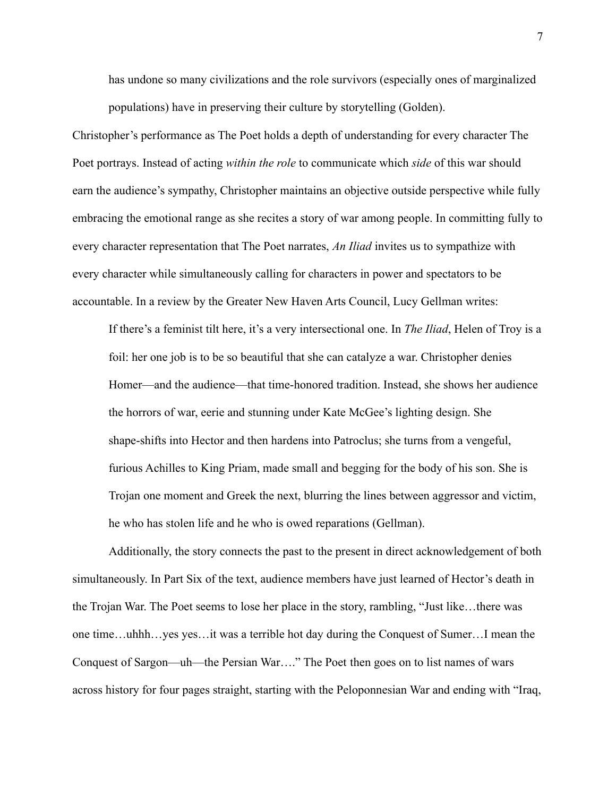has undone so many civilizations and the role survivors (especially ones of marginalized populations) have in preserving their culture by storytelling (Golden).

Christopher's performance as The Poet holds a depth of understanding for every character The Poet portrays. Instead of acting *within the role* to communicate which *side* of this war should earn the audience's sympathy, Christopher maintains an objective outside perspective while fully embracing the emotional range as she recites a story of war among people. In committing fully to every character representation that The Poet narrates, *An Iliad* invites us to sympathize with every character while simultaneously calling for characters in power and spectators to be accountable. In a review by the Greater New Haven Arts Council, Lucy Gellman writes:

If there's a feminist tilt here, it's a very intersectional one. In *The Iliad*, Helen of Troy is a foil: her one job is to be so beautiful that she can catalyze a war. Christopher denies Homer—and the audience—that time-honored tradition. Instead, she shows her audience the horrors of war, eerie and stunning under Kate McGee's lighting design. She shape-shifts into Hector and then hardens into Patroclus; she turns from a vengeful, furious Achilles to King Priam, made small and begging for the body of his son. She is Trojan one moment and Greek the next, blurring the lines between aggressor and victim, he who has stolen life and he who is owed reparations (Gellman).

Additionally, the story connects the past to the present in direct acknowledgement of both simultaneously. In Part Six of the text, audience members have just learned of Hector's death in the Trojan War. The Poet seems to lose her place in the story, rambling, "Just like…there was one time…uhhh…yes yes…it was a terrible hot day during the Conquest of Sumer…I mean the Conquest of Sargon—uh—the Persian War…." The Poet then goes on to list names of wars across history for four pages straight, starting with the Peloponnesian War and ending with "Iraq,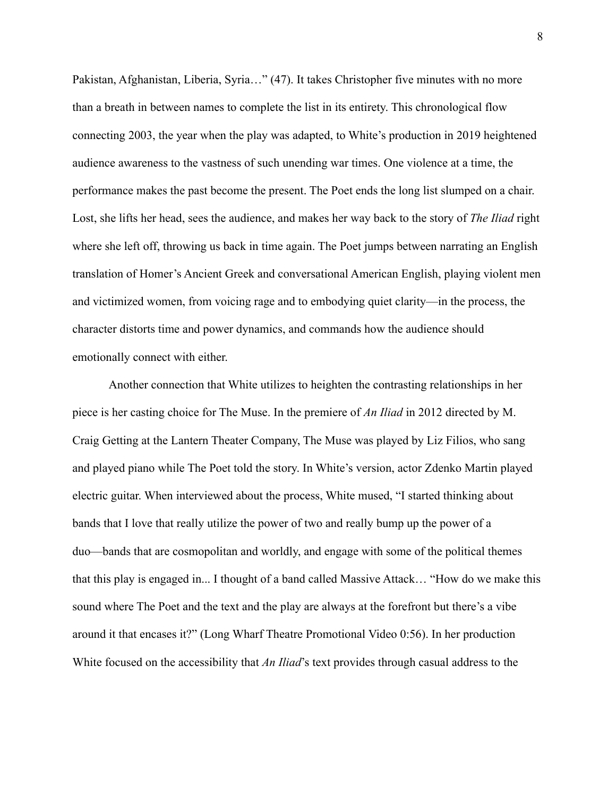Pakistan, Afghanistan, Liberia, Syria…" (47). It takes Christopher five minutes with no more than a breath in between names to complete the list in its entirety. This chronological flow connecting 2003, the year when the play was adapted, to White's production in 2019 heightened audience awareness to the vastness of such unending war times. One violence at a time, the performance makes the past become the present. The Poet ends the long list slumped on a chair. Lost, she lifts her head, sees the audience, and makes her way back to the story of *The Iliad* right where she left off, throwing us back in time again. The Poet jumps between narrating an English translation of Homer's Ancient Greek and conversational American English, playing violent men and victimized women, from voicing rage and to embodying quiet clarity—in the process, the character distorts time and power dynamics, and commands how the audience should emotionally connect with either.

Another connection that White utilizes to heighten the contrasting relationships in her piece is her casting choice for The Muse. In the premiere of *An Iliad* in 2012 directed by M. Craig Getting at the Lantern Theater Company, The Muse was played by Liz Filios, who sang and played piano while The Poet told the story. In White's version, actor Zdenko Martin played electric guitar. When interviewed about the process, White mused, "I started thinking about bands that I love that really utilize the power of two and really bump up the power of a duo—bands that are cosmopolitan and worldly, and engage with some of the political themes that this play is engaged in... I thought of a band called Massive Attack… "How do we make this sound where The Poet and the text and the play are always at the forefront but there's a vibe around it that encases it?" (Long Wharf Theatre Promotional Video 0:56). In her production White focused on the accessibility that *An Iliad*'s text provides through casual address to the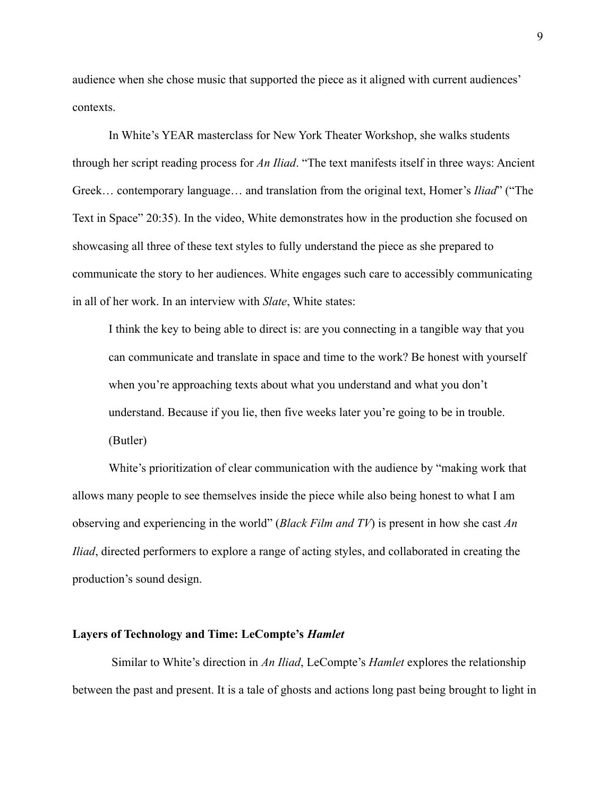audience when she chose music that supported the piece as it aligned with current audiences' contexts.

In White's YEAR masterclass for New York Theater Workshop, she walks students through her script reading process for *An Iliad*. "The text manifests itself in three ways: Ancient Greek… contemporary language… and translation from the original text, Homer's *Iliad*" ("The Text in Space" 20:35). In the video, White demonstrates how in the production she focused on showcasing all three of these text styles to fully understand the piece as she prepared to communicate the story to her audiences. White engages such care to accessibly communicating in all of her work. In an interview with *Slate*, White states:

I think the key to being able to direct is: are you connecting in a tangible way that you can communicate and translate in space and time to the work? Be honest with yourself when you're approaching texts about what you understand and what you don't understand. Because if you lie, then five weeks later you're going to be in trouble. (Butler)

White's prioritization of clear communication with the audience by "making work that allows many people to see themselves inside the piece while also being honest to what I am observing and experiencing in the world" (*Black Film and TV*) is present in how she cast *An Iliad*, directed performers to explore a range of acting styles, and collaborated in creating the production's sound design.

#### **Layers of Technology and Time: LeCompte's** *Hamlet*

Similar to White's direction in *An Iliad*, LeCompte's *Hamlet* explores the relationship between the past and present. It is a tale of ghosts and actions long past being brought to light in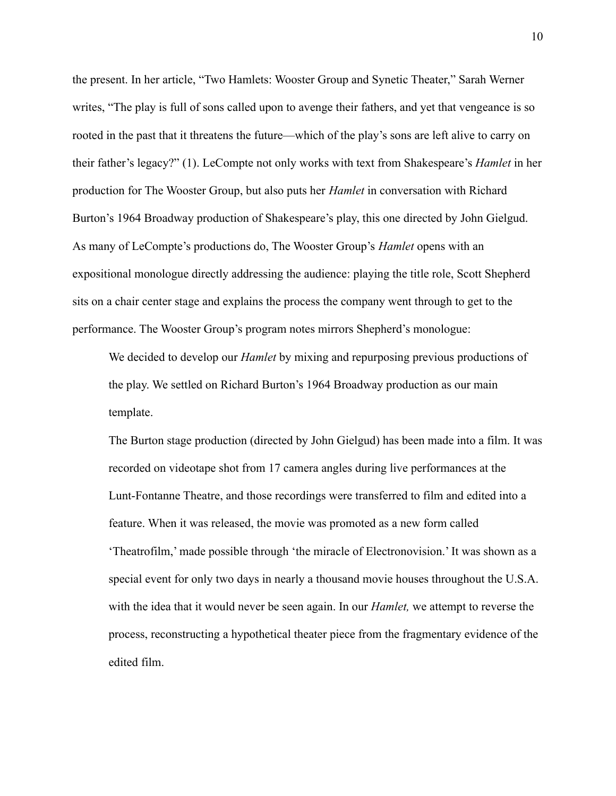the present. In her article, "Two Hamlets: Wooster Group and Synetic Theater," Sarah Werner writes, "The play is full of sons called upon to avenge their fathers, and yet that vengeance is so rooted in the past that it threatens the future—which of the play's sons are left alive to carry on their father's legacy?" (1). LeCompte not only works with text from Shakespeare's *Hamlet* in her production for The Wooster Group, but also puts her *Hamlet* in conversation with Richard Burton's 1964 Broadway production of Shakespeare's play, this one directed by John Gielgud. As many of LeCompte's productions do, The Wooster Group's *Hamlet* opens with an expositional monologue directly addressing the audience: playing the title role, Scott Shepherd sits on a chair center stage and explains the process the company went through to get to the performance. The Wooster Group's program notes mirrors Shepherd's monologue:

We decided to develop our *Hamlet* by mixing and repurposing previous productions of the play. We settled on Richard Burton's 1964 Broadway production as our main template.

The Burton stage production (directed by John Gielgud) has been made into a film. It was recorded on videotape shot from 17 camera angles during live performances at the Lunt-Fontanne Theatre, and those recordings were transferred to film and edited into a feature. When it was released, the movie was promoted as a new form called 'Theatrofilm,' made possible through 'the miracle of Electronovision.' It was shown as a special event for only two days in nearly a thousand movie houses throughout the U.S.A. with the idea that it would never be seen again. In our *Hamlet,* we attempt to reverse the process, reconstructing a hypothetical theater piece from the fragmentary evidence of the edited film.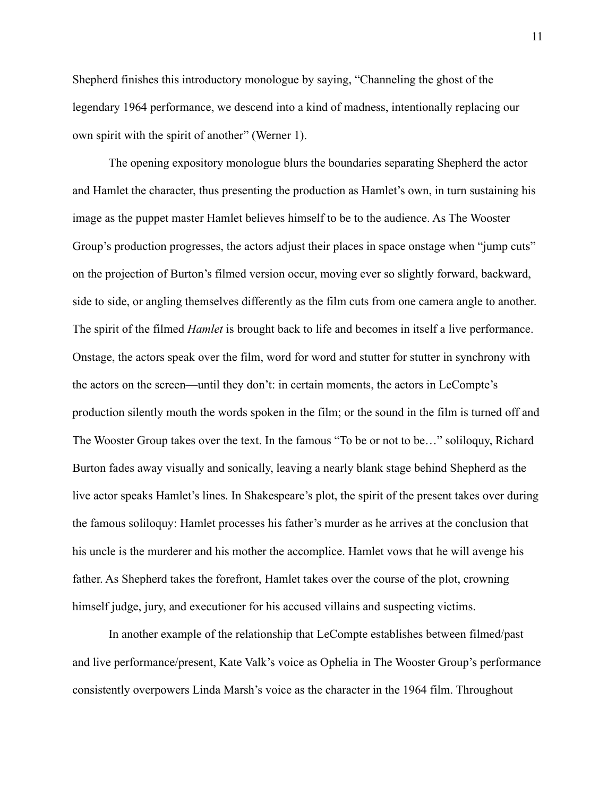Shepherd finishes this introductory monologue by saying, "Channeling the ghost of the legendary 1964 performance, we descend into a kind of madness, intentionally replacing our own spirit with the spirit of another" (Werner 1).

The opening expository monologue blurs the boundaries separating Shepherd the actor and Hamlet the character, thus presenting the production as Hamlet's own, in turn sustaining his image as the puppet master Hamlet believes himself to be to the audience. As The Wooster Group's production progresses, the actors adjust their places in space onstage when "jump cuts" on the projection of Burton's filmed version occur, moving ever so slightly forward, backward, side to side, or angling themselves differently as the film cuts from one camera angle to another. The spirit of the filmed *Hamlet* is brought back to life and becomes in itself a live performance. Onstage, the actors speak over the film, word for word and stutter for stutter in synchrony with the actors on the screen—until they don't: in certain moments, the actors in LeCompte's production silently mouth the words spoken in the film; or the sound in the film is turned off and The Wooster Group takes over the text. In the famous "To be or not to be…" soliloquy, Richard Burton fades away visually and sonically, leaving a nearly blank stage behind Shepherd as the live actor speaks Hamlet's lines. In Shakespeare's plot, the spirit of the present takes over during the famous soliloquy: Hamlet processes his father's murder as he arrives at the conclusion that his uncle is the murderer and his mother the accomplice. Hamlet vows that he will avenge his father. As Shepherd takes the forefront, Hamlet takes over the course of the plot, crowning himself judge, jury, and executioner for his accused villains and suspecting victims.

In another example of the relationship that LeCompte establishes between filmed/past and live performance/present, Kate Valk's voice as Ophelia in The Wooster Group's performance consistently overpowers Linda Marsh's voice as the character in the 1964 film. Throughout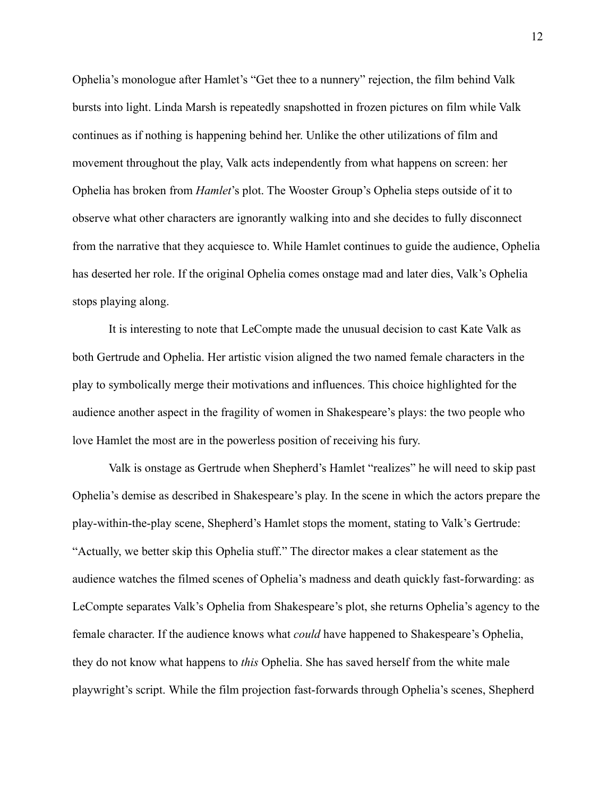Ophelia's monologue after Hamlet's "Get thee to a nunnery" rejection, the film behind Valk bursts into light. Linda Marsh is repeatedly snapshotted in frozen pictures on film while Valk continues as if nothing is happening behind her. Unlike the other utilizations of film and movement throughout the play, Valk acts independently from what happens on screen: her Ophelia has broken from *Hamlet*'s plot. The Wooster Group's Ophelia steps outside of it to observe what other characters are ignorantly walking into and she decides to fully disconnect from the narrative that they acquiesce to. While Hamlet continues to guide the audience, Ophelia has deserted her role. If the original Ophelia comes onstage mad and later dies, Valk's Ophelia stops playing along.

It is interesting to note that LeCompte made the unusual decision to cast Kate Valk as both Gertrude and Ophelia. Her artistic vision aligned the two named female characters in the play to symbolically merge their motivations and influences. This choice highlighted for the audience another aspect in the fragility of women in Shakespeare's plays: the two people who love Hamlet the most are in the powerless position of receiving his fury.

Valk is onstage as Gertrude when Shepherd's Hamlet "realizes" he will need to skip past Ophelia's demise as described in Shakespeare's play. In the scene in which the actors prepare the play-within-the-play scene, Shepherd's Hamlet stops the moment, stating to Valk's Gertrude: "Actually, we better skip this Ophelia stuff." The director makes a clear statement as the audience watches the filmed scenes of Ophelia's madness and death quickly fast-forwarding: as LeCompte separates Valk's Ophelia from Shakespeare's plot, she returns Ophelia's agency to the female character. If the audience knows what *could* have happened to Shakespeare's Ophelia, they do not know what happens to *this* Ophelia. She has saved herself from the white male playwright's script. While the film projection fast-forwards through Ophelia's scenes, Shepherd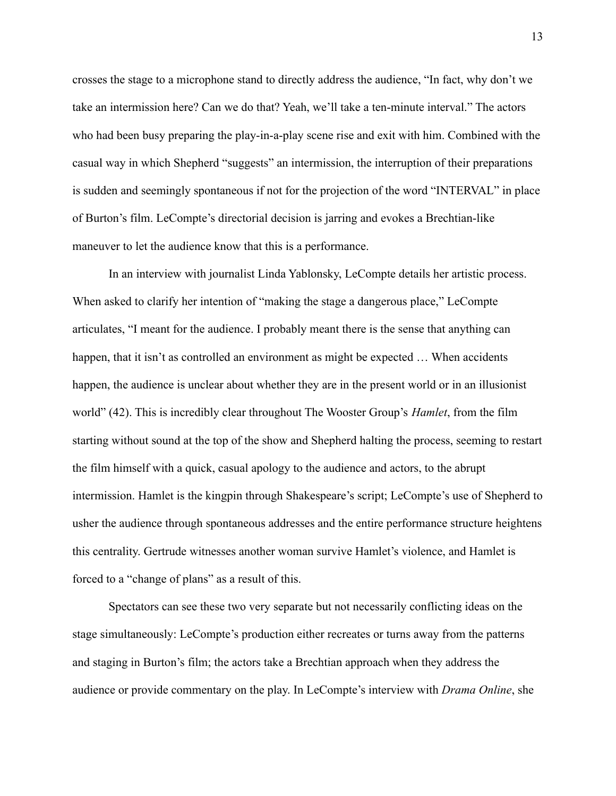crosses the stage to a microphone stand to directly address the audience, "In fact, why don't we take an intermission here? Can we do that? Yeah, we'll take a ten-minute interval." The actors who had been busy preparing the play-in-a-play scene rise and exit with him. Combined with the casual way in which Shepherd "suggests" an intermission, the interruption of their preparations is sudden and seemingly spontaneous if not for the projection of the word "INTERVAL" in place of Burton's film. LeCompte's directorial decision is jarring and evokes a Brechtian-like maneuver to let the audience know that this is a performance.

In an interview with journalist Linda Yablonsky, LeCompte details her artistic process. When asked to clarify her intention of "making the stage a dangerous place," LeCompte articulates, "I meant for the audience. I probably meant there is the sense that anything can happen, that it isn't as controlled an environment as might be expected ... When accidents happen, the audience is unclear about whether they are in the present world or in an illusionist world" (42). This is incredibly clear throughout The Wooster Group's *Hamlet*, from the film starting without sound at the top of the show and Shepherd halting the process, seeming to restart the film himself with a quick, casual apology to the audience and actors, to the abrupt intermission. Hamlet is the kingpin through Shakespeare's script; LeCompte's use of Shepherd to usher the audience through spontaneous addresses and the entire performance structure heightens this centrality. Gertrude witnesses another woman survive Hamlet's violence, and Hamlet is forced to a "change of plans" as a result of this.

Spectators can see these two very separate but not necessarily conflicting ideas on the stage simultaneously: LeCompte's production either recreates or turns away from the patterns and staging in Burton's film; the actors take a Brechtian approach when they address the audience or provide commentary on the play. In LeCompte's interview with *Drama Online*, she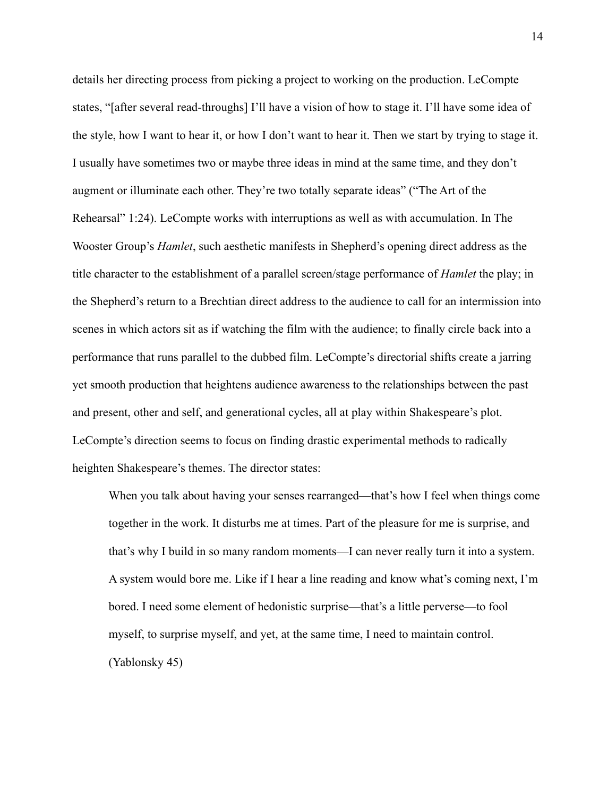details her directing process from picking a project to working on the production. LeCompte states, "[after several read-throughs] I'll have a vision of how to stage it. I'll have some idea of the style, how I want to hear it, or how I don't want to hear it. Then we start by trying to stage it. I usually have sometimes two or maybe three ideas in mind at the same time, and they don't augment or illuminate each other. They're two totally separate ideas" ("The Art of the Rehearsal" 1:24). LeCompte works with interruptions as well as with accumulation. In The Wooster Group's *Hamlet*, such aesthetic manifests in Shepherd's opening direct address as the title character to the establishment of a parallel screen/stage performance of *Hamlet* the play; in the Shepherd's return to a Brechtian direct address to the audience to call for an intermission into scenes in which actors sit as if watching the film with the audience; to finally circle back into a performance that runs parallel to the dubbed film. LeCompte's directorial shifts create a jarring yet smooth production that heightens audience awareness to the relationships between the past and present, other and self, and generational cycles, all at play within Shakespeare's plot. LeCompte's direction seems to focus on finding drastic experimental methods to radically heighten Shakespeare's themes. The director states:

When you talk about having your senses rearranged—that's how I feel when things come together in the work. It disturbs me at times. Part of the pleasure for me is surprise, and that's why I build in so many random moments—I can never really turn it into a system. A system would bore me. Like if I hear a line reading and know what's coming next, I'm bored. I need some element of hedonistic surprise—that's a little perverse—to fool myself, to surprise myself, and yet, at the same time, I need to maintain control. (Yablonsky 45)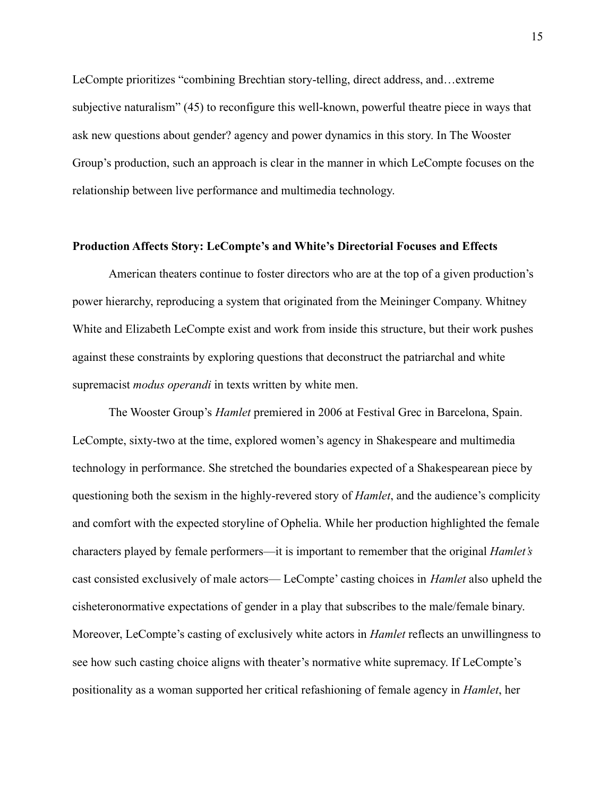LeCompte prioritizes "combining Brechtian story-telling, direct address, and…extreme subjective naturalism" (45) to reconfigure this well-known, powerful theatre piece in ways that ask new questions about gender? agency and power dynamics in this story. In The Wooster Group's production, such an approach is clear in the manner in which LeCompte focuses on the relationship between live performance and multimedia technology.

# **Production Affects Story: LeCompte's and White's Directorial Focuses and Effects**

American theaters continue to foster directors who are at the top of a given production's power hierarchy, reproducing a system that originated from the Meininger Company. Whitney White and Elizabeth LeCompte exist and work from inside this structure, but their work pushes against these constraints by exploring questions that deconstruct the patriarchal and white supremacist *modus operandi* in texts written by white men.

The Wooster Group's *Hamlet* premiered in 2006 at Festival Grec in Barcelona, Spain. LeCompte, sixty-two at the time, explored women's agency in Shakespeare and multimedia technology in performance. She stretched the boundaries expected of a Shakespearean piece by questioning both the sexism in the highly-revered story of *Hamlet*, and the audience's complicity and comfort with the expected storyline of Ophelia. While her production highlighted the female characters played by female performers—it is important to remember that the original *Hamlet's* cast consisted exclusively of male actors— LeCompte' casting choices in *Hamlet* also upheld the cisheteronormative expectations of gender in a play that subscribes to the male/female binary. Moreover, LeCompte's casting of exclusively white actors in *Hamlet* reflects an unwillingness to see how such casting choice aligns with theater's normative white supremacy. If LeCompte's positionality as a woman supported her critical refashioning of female agency in *Hamlet*, her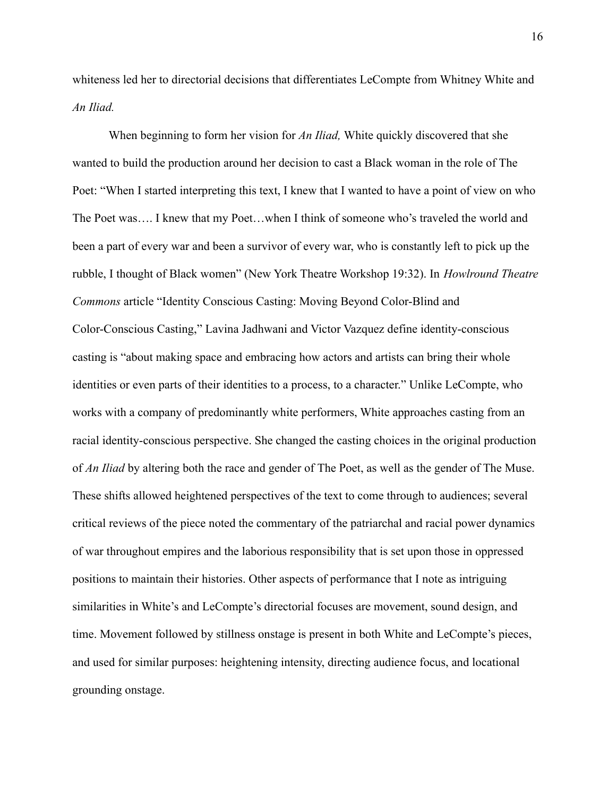whiteness led her to directorial decisions that differentiates LeCompte from Whitney White and *An Iliad.*

When beginning to form her vision for *An Iliad,* White quickly discovered that she wanted to build the production around her decision to cast a Black woman in the role of The Poet: "When I started interpreting this text, I knew that I wanted to have a point of view on who The Poet was…. I knew that my Poet…when I think of someone who's traveled the world and been a part of every war and been a survivor of every war, who is constantly left to pick up the rubble, I thought of Black women" (New York Theatre Workshop 19:32). In *Howlround Theatre Commons* article "Identity Conscious Casting: Moving Beyond Color-Blind and Color-Conscious Casting," Lavina Jadhwani and Victor Vazquez define identity-conscious casting is "about making space and embracing how actors and artists can bring their whole identities or even parts of their identities to a process, to a character." Unlike LeCompte, who works with a company of predominantly white performers, White approaches casting from an racial identity-conscious perspective. She changed the casting choices in the original production of *An Iliad* by altering both the race and gender of The Poet, as well as the gender of The Muse. These shifts allowed heightened perspectives of the text to come through to audiences; several critical reviews of the piece noted the commentary of the patriarchal and racial power dynamics of war throughout empires and the laborious responsibility that is set upon those in oppressed positions to maintain their histories. Other aspects of performance that I note as intriguing similarities in White's and LeCompte's directorial focuses are movement, sound design, and time. Movement followed by stillness onstage is present in both White and LeCompte's pieces, and used for similar purposes: heightening intensity, directing audience focus, and locational grounding onstage.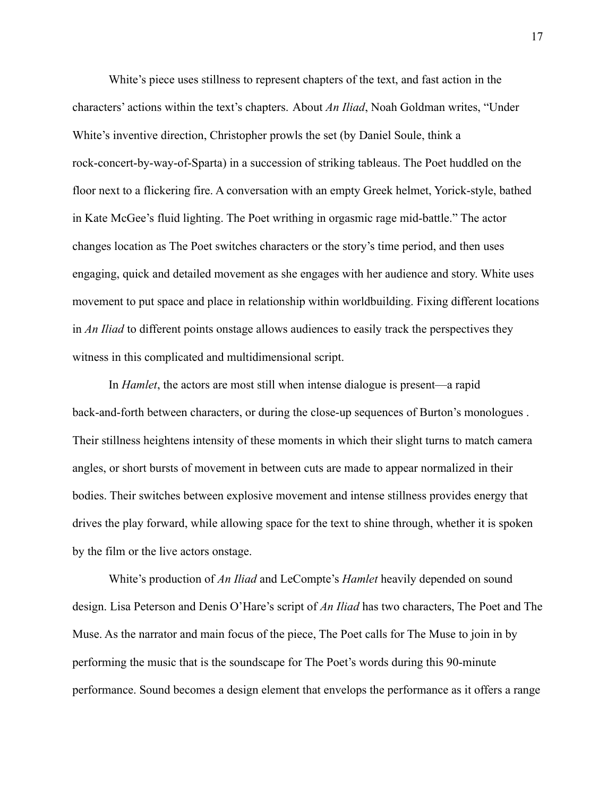White's piece uses stillness to represent chapters of the text, and fast action in the characters' actions within the text's chapters. About *An Iliad*, Noah Goldman writes, "Under White's inventive direction, Christopher prowls the set (by Daniel Soule, think a rock-concert-by-way-of-Sparta) in a succession of striking tableaus. The Poet huddled on the floor next to a flickering fire. A conversation with an empty Greek helmet, Yorick-style, bathed in Kate McGee's fluid lighting. The Poet writhing in orgasmic rage mid-battle." The actor changes location as The Poet switches characters or the story's time period, and then uses engaging, quick and detailed movement as she engages with her audience and story. White uses movement to put space and place in relationship within worldbuilding. Fixing different locations in *An Iliad* to different points onstage allows audiences to easily track the perspectives they witness in this complicated and multidimensional script.

In *Hamlet*, the actors are most still when intense dialogue is present—a rapid back-and-forth between characters, or during the close-up sequences of Burton's monologues . Their stillness heightens intensity of these moments in which their slight turns to match camera angles, or short bursts of movement in between cuts are made to appear normalized in their bodies. Their switches between explosive movement and intense stillness provides energy that drives the play forward, while allowing space for the text to shine through, whether it is spoken by the film or the live actors onstage.

White's production of *An Iliad* and LeCompte's *Hamlet* heavily depended on sound design. Lisa Peterson and Denis O'Hare's script of *An Iliad* has two characters, The Poet and The Muse. As the narrator and main focus of the piece, The Poet calls for The Muse to join in by performing the music that is the soundscape for The Poet's words during this 90-minute performance. Sound becomes a design element that envelops the performance as it offers a range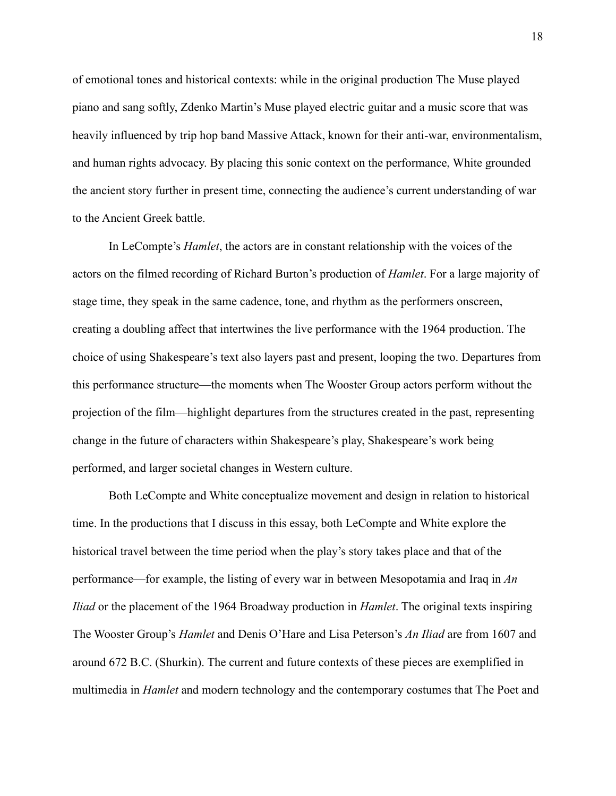of emotional tones and historical contexts: while in the original production The Muse played piano and sang softly, Zdenko Martin's Muse played electric guitar and a music score that was heavily influenced by trip hop band Massive Attack, known for their anti-war, environmentalism, and human rights advocacy. By placing this sonic context on the performance, White grounded the ancient story further in present time, connecting the audience's current understanding of war to the Ancient Greek battle.

In LeCompte's *Hamlet*, the actors are in constant relationship with the voices of the actors on the filmed recording of Richard Burton's production of *Hamlet*. For a large majority of stage time, they speak in the same cadence, tone, and rhythm as the performers onscreen, creating a doubling affect that intertwines the live performance with the 1964 production. The choice of using Shakespeare's text also layers past and present, looping the two. Departures from this performance structure—the moments when The Wooster Group actors perform without the projection of the film—highlight departures from the structures created in the past, representing change in the future of characters within Shakespeare's play, Shakespeare's work being performed, and larger societal changes in Western culture.

Both LeCompte and White conceptualize movement and design in relation to historical time. In the productions that I discuss in this essay, both LeCompte and White explore the historical travel between the time period when the play's story takes place and that of the performance—for example, the listing of every war in between Mesopotamia and Iraq in *An Iliad* or the placement of the 1964 Broadway production in *Hamlet*. The original texts inspiring The Wooster Group's *Hamlet* and Denis O'Hare and Lisa Peterson's *An Iliad* are from 1607 and around 672 B.C. (Shurkin). The current and future contexts of these pieces are exemplified in multimedia in *Hamlet* and modern technology and the contemporary costumes that The Poet and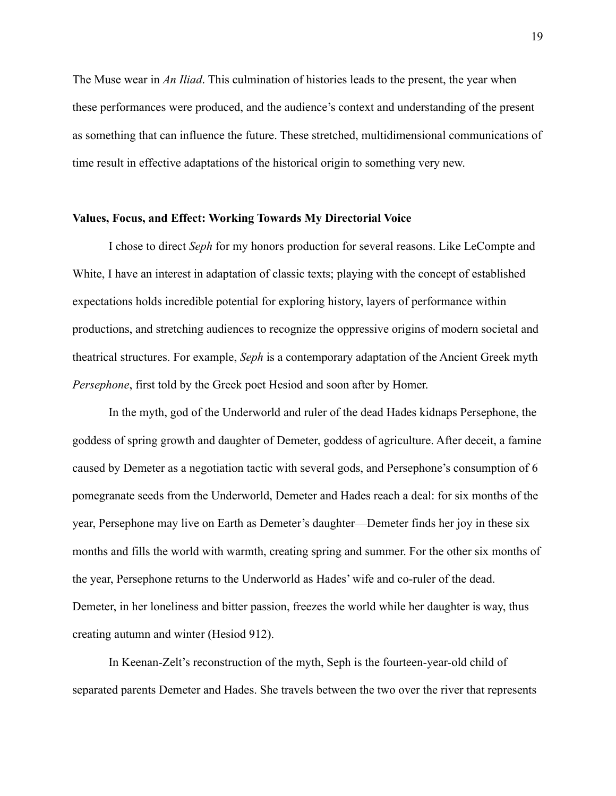The Muse wear in *An Iliad*. This culmination of histories leads to the present, the year when these performances were produced, and the audience's context and understanding of the present as something that can influence the future. These stretched, multidimensional communications of time result in effective adaptations of the historical origin to something very new.

# **Values, Focus, and Effect: Working Towards My Directorial Voice**

I chose to direct *Seph* for my honors production for several reasons. Like LeCompte and White, I have an interest in adaptation of classic texts; playing with the concept of established expectations holds incredible potential for exploring history, layers of performance within productions, and stretching audiences to recognize the oppressive origins of modern societal and theatrical structures. For example, *Seph* is a contemporary adaptation of the Ancient Greek myth *Persephone*, first told by the Greek poet Hesiod and soon after by Homer.

In the myth, god of the Underworld and ruler of the dead Hades kidnaps Persephone, the goddess of spring growth and daughter of Demeter, goddess of agriculture. After deceit, a famine caused by Demeter as a negotiation tactic with several gods, and Persephone's consumption of 6 pomegranate seeds from the Underworld, Demeter and Hades reach a deal: for six months of the year, Persephone may live on Earth as Demeter's daughter—Demeter finds her joy in these six months and fills the world with warmth, creating spring and summer. For the other six months of the year, Persephone returns to the Underworld as Hades' wife and co-ruler of the dead. Demeter, in her loneliness and bitter passion, freezes the world while her daughter is way, thus creating autumn and winter (Hesiod 912).

In Keenan-Zelt's reconstruction of the myth, Seph is the fourteen-year-old child of separated parents Demeter and Hades. She travels between the two over the river that represents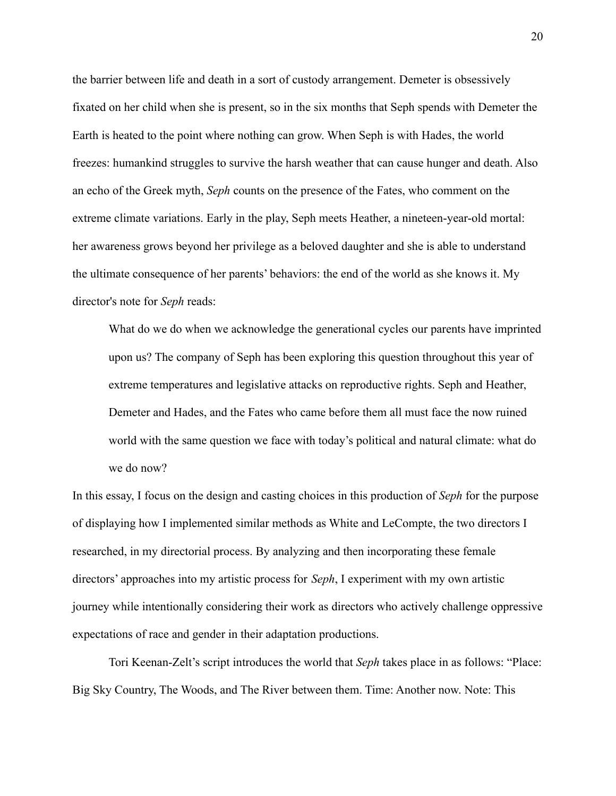the barrier between life and death in a sort of custody arrangement. Demeter is obsessively fixated on her child when she is present, so in the six months that Seph spends with Demeter the Earth is heated to the point where nothing can grow. When Seph is with Hades, the world freezes: humankind struggles to survive the harsh weather that can cause hunger and death. Also an echo of the Greek myth, *Seph* counts on the presence of the Fates, who comment on the extreme climate variations. Early in the play, Seph meets Heather, a nineteen-year-old mortal: her awareness grows beyond her privilege as a beloved daughter and she is able to understand the ultimate consequence of her parents' behaviors: the end of the world as she knows it. My director's note for *Seph* reads:

What do we do when we acknowledge the generational cycles our parents have imprinted upon us? The company of Seph has been exploring this question throughout this year of extreme temperatures and legislative attacks on reproductive rights. Seph and Heather, Demeter and Hades, and the Fates who came before them all must face the now ruined world with the same question we face with today's political and natural climate: what do we do now?

In this essay, I focus on the design and casting choices in this production of *Seph* for the purpose of displaying how I implemented similar methods as White and LeCompte, the two directors I researched, in my directorial process. By analyzing and then incorporating these female directors' approaches into my artistic process for *Seph*, I experiment with my own artistic journey while intentionally considering their work as directors who actively challenge oppressive expectations of race and gender in their adaptation productions.

Tori Keenan-Zelt's script introduces the world that *Seph* takes place in as follows: "Place: Big Sky Country, The Woods, and The River between them. Time: Another now. Note: This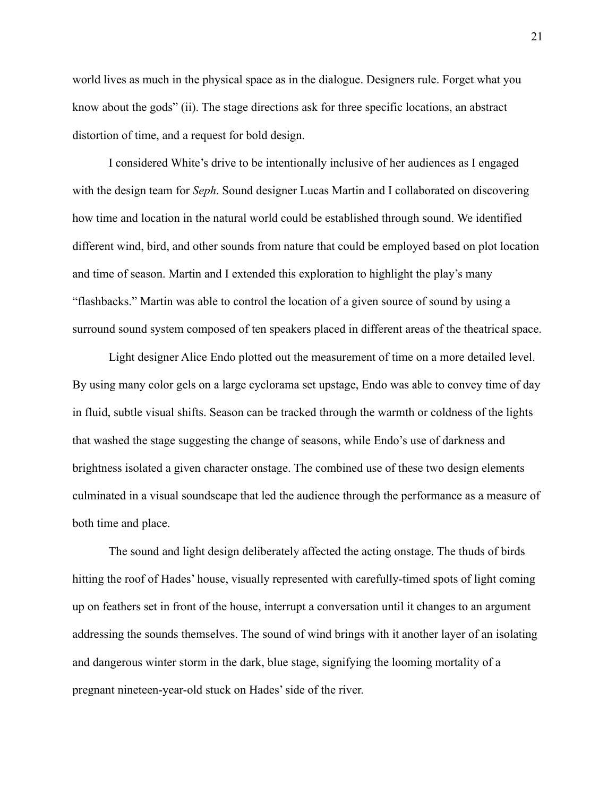world lives as much in the physical space as in the dialogue. Designers rule. Forget what you know about the gods" (ii). The stage directions ask for three specific locations, an abstract distortion of time, and a request for bold design.

I considered White's drive to be intentionally inclusive of her audiences as I engaged with the design team for *Seph*. Sound designer Lucas Martin and I collaborated on discovering how time and location in the natural world could be established through sound. We identified different wind, bird, and other sounds from nature that could be employed based on plot location and time of season. Martin and I extended this exploration to highlight the play's many "flashbacks." Martin was able to control the location of a given source of sound by using a surround sound system composed of ten speakers placed in different areas of the theatrical space.

Light designer Alice Endo plotted out the measurement of time on a more detailed level. By using many color gels on a large cyclorama set upstage, Endo was able to convey time of day in fluid, subtle visual shifts. Season can be tracked through the warmth or coldness of the lights that washed the stage suggesting the change of seasons, while Endo's use of darkness and brightness isolated a given character onstage. The combined use of these two design elements culminated in a visual soundscape that led the audience through the performance as a measure of both time and place.

The sound and light design deliberately affected the acting onstage. The thuds of birds hitting the roof of Hades' house, visually represented with carefully-timed spots of light coming up on feathers set in front of the house, interrupt a conversation until it changes to an argument addressing the sounds themselves. The sound of wind brings with it another layer of an isolating and dangerous winter storm in the dark, blue stage, signifying the looming mortality of a pregnant nineteen-year-old stuck on Hades' side of the river.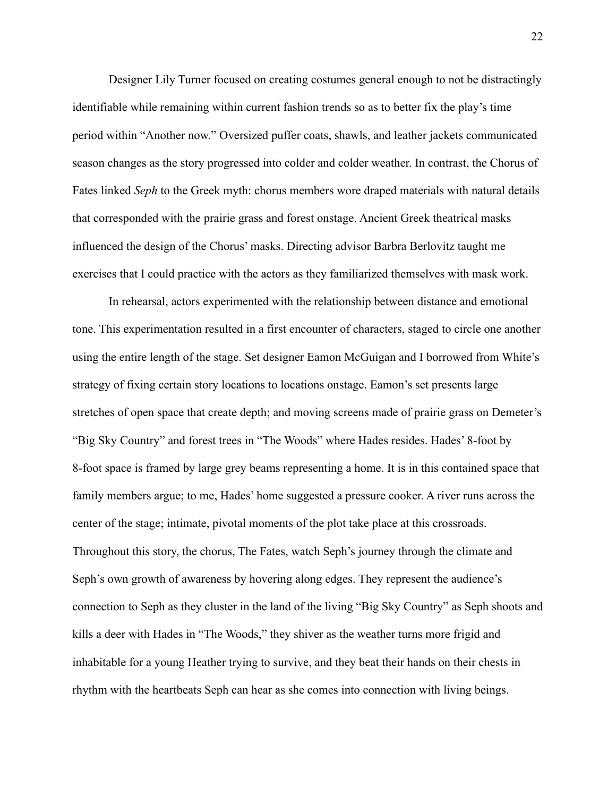Designer Lily Turner focused on creating costumes general enough to not be distractingly identifiable while remaining within current fashion trends so as to better fix the play's time period within "Another now." Oversized puffer coats, shawls, and leather jackets communicated season changes as the story progressed into colder and colder weather. In contrast, the Chorus of Fates linked *Seph* to the Greek myth: chorus members wore draped materials with natural details that corresponded with the prairie grass and forest onstage. Ancient Greek theatrical masks influenced the design of the Chorus' masks. Directing advisor Barbra Berlovitz taught me exercises that I could practice with the actors as they familiarized themselves with mask work.

In rehearsal, actors experimented with the relationship between distance and emotional tone. This experimentation resulted in a first encounter of characters, staged to circle one another using the entire length of the stage. Set designer Eamon McGuigan and I borrowed from White's strategy of fixing certain story locations to locations onstage. Eamon's set presents large stretches of open space that create depth; and moving screens made of prairie grass on Demeter's "Big Sky Country" and forest trees in "The Woods" where Hades resides. Hades' 8-foot by 8-foot space is framed by large grey beams representing a home. It is in this contained space that family members argue; to me, Hades' home suggested a pressure cooker. A river runs across the center of the stage; intimate, pivotal moments of the plot take place at this crossroads. Throughout this story, the chorus, The Fates, watch Seph's journey through the climate and Seph's own growth of awareness by hovering along edges. They represent the audience's connection to Seph as they cluster in the land of the living "Big Sky Country" as Seph shoots and kills a deer with Hades in "The Woods," they shiver as the weather turns more frigid and inhabitable for a young Heather trying to survive, and they beat their hands on their chests in rhythm with the heartbeats Seph can hear as she comes into connection with living beings.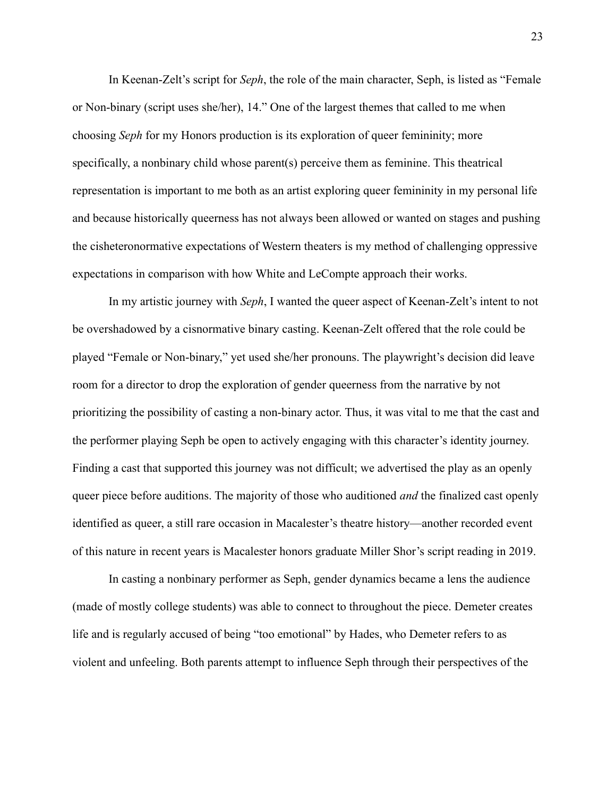In Keenan-Zelt's script for *Seph*, the role of the main character, Seph, is listed as "Female or Non-binary (script uses she/her), 14." One of the largest themes that called to me when choosing *Seph* for my Honors production is its exploration of queer femininity; more specifically, a nonbinary child whose parent(s) perceive them as feminine. This theatrical representation is important to me both as an artist exploring queer femininity in my personal life and because historically queerness has not always been allowed or wanted on stages and pushing the cisheteronormative expectations of Western theaters is my method of challenging oppressive expectations in comparison with how White and LeCompte approach their works.

In my artistic journey with *Seph*, I wanted the queer aspect of Keenan-Zelt's intent to not be overshadowed by a cisnormative binary casting. Keenan-Zelt offered that the role could be played "Female or Non-binary," yet used she/her pronouns. The playwright's decision did leave room for a director to drop the exploration of gender queerness from the narrative by not prioritizing the possibility of casting a non-binary actor. Thus, it was vital to me that the cast and the performer playing Seph be open to actively engaging with this character's identity journey. Finding a cast that supported this journey was not difficult; we advertised the play as an openly queer piece before auditions. The majority of those who auditioned *and* the finalized cast openly identified as queer, a still rare occasion in Macalester's theatre history—another recorded event of this nature in recent years is Macalester honors graduate Miller Shor's script reading in 2019.

In casting a nonbinary performer as Seph, gender dynamics became a lens the audience (made of mostly college students) was able to connect to throughout the piece. Demeter creates life and is regularly accused of being "too emotional" by Hades, who Demeter refers to as violent and unfeeling. Both parents attempt to influence Seph through their perspectives of the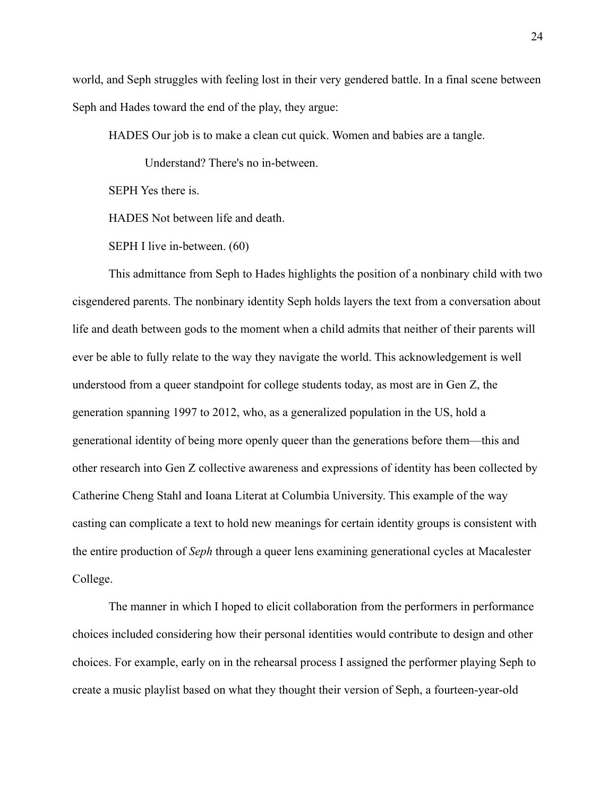world, and Seph struggles with feeling lost in their very gendered battle. In a final scene between Seph and Hades toward the end of the play, they argue:

HADES Our job is to make a clean cut quick. Women and babies are a tangle.

Understand? There's no in-between.

SEPH Yes there is.

HADES Not between life and death.

SEPH I live in-between. (60)

This admittance from Seph to Hades highlights the position of a nonbinary child with two cisgendered parents. The nonbinary identity Seph holds layers the text from a conversation about life and death between gods to the moment when a child admits that neither of their parents will ever be able to fully relate to the way they navigate the world. This acknowledgement is well understood from a queer standpoint for college students today, as most are in Gen Z, the generation spanning 1997 to 2012, who, as a generalized population in the US, hold a generational identity of being more openly queer than the generations before them—this and other research into Gen Z collective awareness and expressions of identity has been collected by Catherine Cheng Stahl and Ioana Literat at Columbia University. This example of the way casting can complicate a text to hold new meanings for certain identity groups is consistent with the entire production of *Seph* through a queer lens examining generational cycles at Macalester College.

The manner in which I hoped to elicit collaboration from the performers in performance choices included considering how their personal identities would contribute to design and other choices. For example, early on in the rehearsal process I assigned the performer playing Seph to create a music playlist based on what they thought their version of Seph, a fourteen-year-old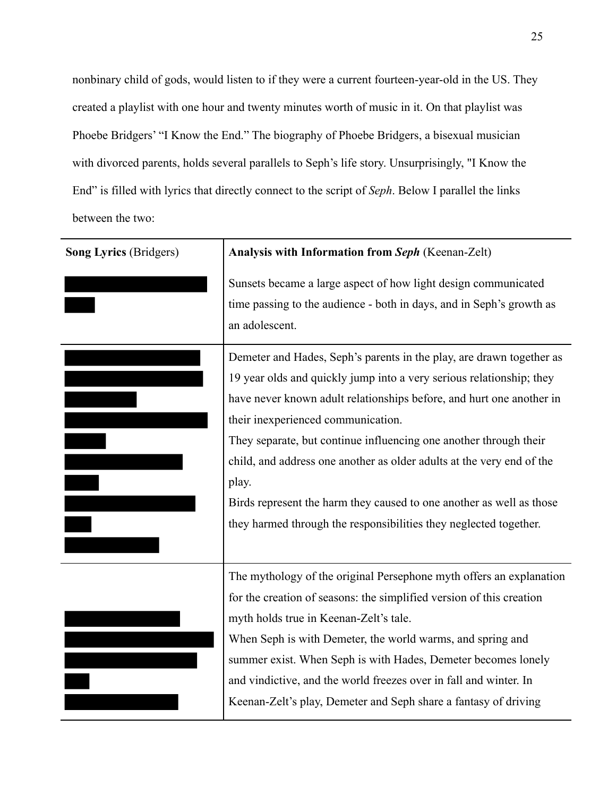nonbinary child of gods, would listen to if they were a current fourteen-year-old in the US. They created a playlist with one hour and twenty minutes worth of music in it. On that playlist was Phoebe Bridgers' "I Know the End." The biography of Phoebe Bridgers, a bisexual musician with divorced parents, holds several parallels to Seph's life story. Unsurprisingly, "I Know the End" is filled with lyrics that directly connect to the script of *Seph*. Below I parallel the links between the two:

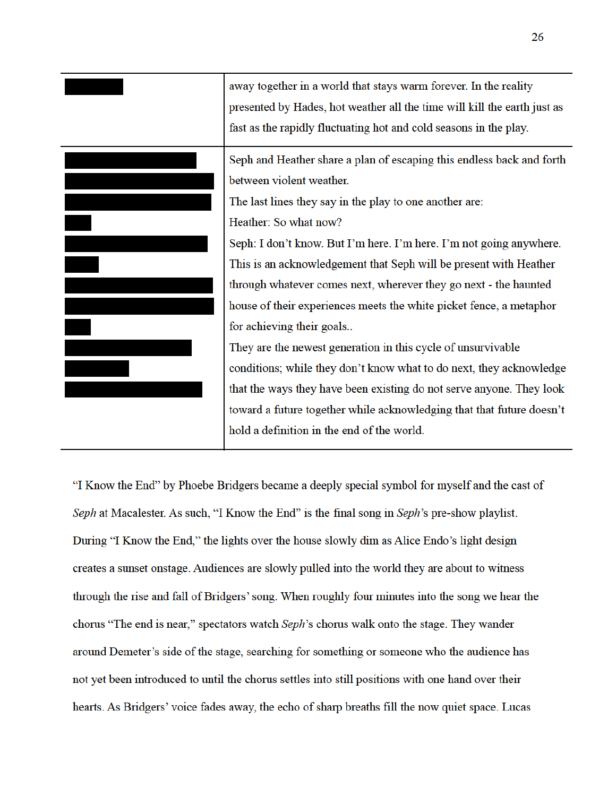

"I Know the End" by Phoebe Bridgers became a deeply special symbol for myself and the cast of Seph at Macalester. As such, "I Know the End" is the final song in Seph's pre-show playlist. During "I Know the End," the lights over the house slowly dim as Alice Endo's light design creates a sunset onstage. Audiences are slowly pulled into the world they are about to witness through the rise and fall of Bridgers' song. When roughly four minutes into the song we hear the chorus "The end is near," spectators watch Seph's chorus walk onto the stage. They wander around Demeter's side of the stage, searching for something or someone who the audience has not yet been introduced to until the chorus settles into still positions with one hand over their hearts. As Bridgers' voice fades away, the echo of sharp breaths fill the now quiet space. Lucas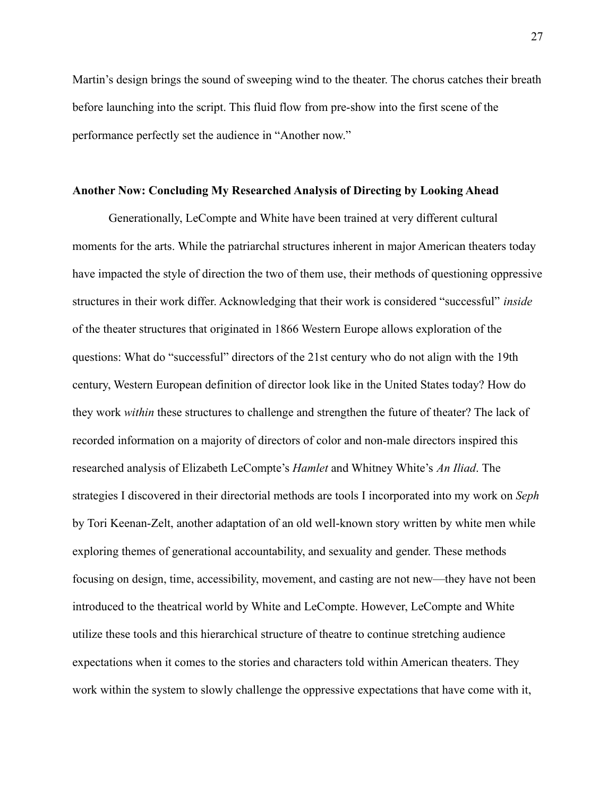Martin's design brings the sound of sweeping wind to the theater. The chorus catches their breath before launching into the script. This fluid flow from pre-show into the first scene of the performance perfectly set the audience in "Another now."

#### **Another Now: Concluding My Researched Analysis of Directing by Looking Ahead**

Generationally, LeCompte and White have been trained at very different cultural moments for the arts. While the patriarchal structures inherent in major American theaters today have impacted the style of direction the two of them use, their methods of questioning oppressive structures in their work differ. Acknowledging that their work is considered "successful" *inside* of the theater structures that originated in 1866 Western Europe allows exploration of the questions: What do "successful" directors of the 21st century who do not align with the 19th century, Western European definition of director look like in the United States today? How do they work *within* these structures to challenge and strengthen the future of theater? The lack of recorded information on a majority of directors of color and non-male directors inspired this researched analysis of Elizabeth LeCompte's *Hamlet* and Whitney White's *An Iliad*. The strategies I discovered in their directorial methods are tools I incorporated into my work on *Seph* by Tori Keenan-Zelt, another adaptation of an old well-known story written by white men while exploring themes of generational accountability, and sexuality and gender. These methods focusing on design, time, accessibility, movement, and casting are not new—they have not been introduced to the theatrical world by White and LeCompte. However, LeCompte and White utilize these tools and this hierarchical structure of theatre to continue stretching audience expectations when it comes to the stories and characters told within American theaters. They work within the system to slowly challenge the oppressive expectations that have come with it,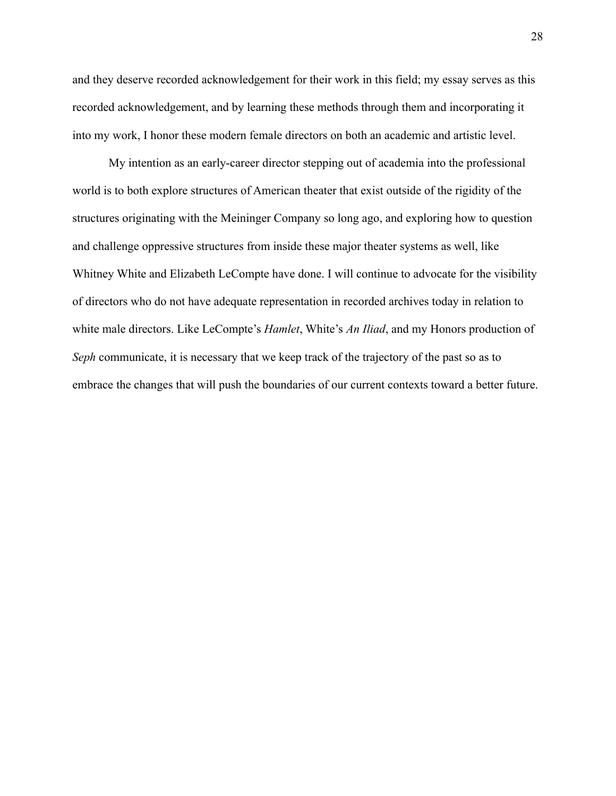and they deserve recorded acknowledgement for their work in this field; my essay serves as this recorded acknowledgement, and by learning these methods through them and incorporating it into my work, I honor these modern female directors on both an academic and artistic level.

My intention as an early-career director stepping out of academia into the professional world is to both explore structures of American theater that exist outside of the rigidity of the structures originating with the Meininger Company so long ago, and exploring how to question and challenge oppressive structures from inside these major theater systems as well, like Whitney White and Elizabeth LeCompte have done. I will continue to advocate for the visibility of directors who do not have adequate representation in recorded archives today in relation to white male directors. Like LeCompte's *Hamlet*, White's *An Iliad*, and my Honors production of *Seph* communicate, it is necessary that we keep track of the trajectory of the past so as to embrace the changes that will push the boundaries of our current contexts toward a better future.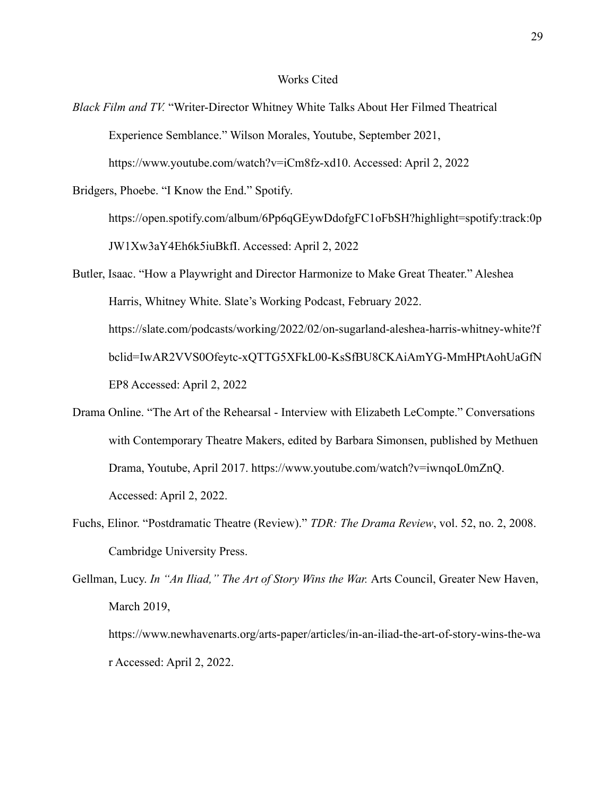#### Works Cited

*Black Film and TV.* "Writer-Director Whitney White Talks About Her Filmed Theatrical Experience Semblance." Wilson Morales, Youtube, September 2021, https://www.youtube.com/watch?v=iCm8fz-xd10. Accessed: April 2, 2022

Bridgers, Phoebe. "I Know the End." Spotify.

https://open.spotify.com/album/6Pp6qGEywDdofgFC1oFbSH?highlight=spotify:track:0p JW1Xw3aY4Eh6k5iuBkfI. Accessed: April 2, 2022

- Butler, Isaac. "How a Playwright and Director Harmonize to Make Great Theater." Aleshea Harris, Whitney White. Slate's Working Podcast, February 2022. https://slate.com/podcasts/working/2022/02/on-sugarland-aleshea-harris-whitney-white?f bclid=IwAR2VVS0Ofeytc-xQTTG5XFkL00-KsSfBU8CKAiAmYG-MmHPtAohUaGfN EP8 Accessed: April 2, 2022
- Drama Online. "The Art of the Rehearsal Interview with Elizabeth LeCompte." Conversations with Contemporary Theatre Makers, edited by Barbara Simonsen, published by Methuen Drama, Youtube, April 2017. https://www.youtube.com/watch?v=iwnqoL0mZnQ. Accessed: April 2, 2022.
- Fuchs, Elinor. "Postdramatic Theatre (Review)." *TDR: The Drama Review*, vol. 52, no. 2, 2008. Cambridge University Press.

Gellman, Lucy. *In "An Iliad," The Art of Story Wins the War.* Arts Council, Greater New Haven, March 2019, https://www.newhavenarts.org/arts-paper/articles/in-an-iliad-the-art-of-story-wins-the-wa

r Accessed: April 2, 2022.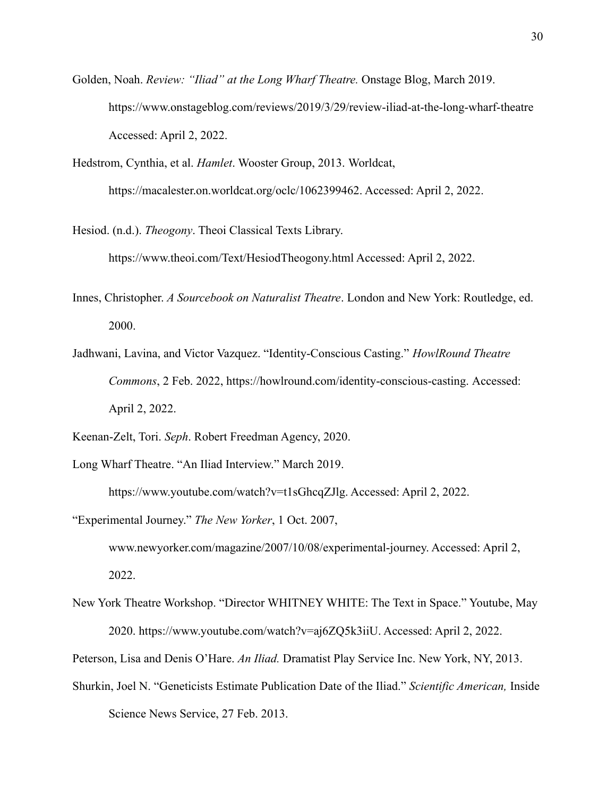- Golden, Noah. *Review: "Iliad" at the Long Wharf Theatre.* Onstage Blog, March 2019. https://www.onstageblog.com/reviews/2019/3/29/review-iliad-at-the-long-wharf-theatre Accessed: April 2, 2022.
- Hedstrom, Cynthia, et al. *Hamlet*. Wooster Group, 2013. Worldcat, https://macalester.on.worldcat.org/oclc/1062399462. Accessed: April 2, 2022.
- Hesiod. (n.d.). *Theogony*. Theoi Classical Texts Library. https://www.theoi.com/Text/HesiodTheogony.html Accessed: April 2, 2022.
- Innes, Christopher. *A Sourcebook on Naturalist Theatre*. London and New York: Routledge, ed. 2000.
- Jadhwani, Lavina, and Victor Vazquez. "Identity-Conscious Casting." *HowlRound Theatre Commons*, 2 Feb. 2022, https://howlround.com/identity-conscious-casting. Accessed: April 2, 2022.
- Keenan-Zelt, Tori. *Seph*. Robert Freedman Agency, 2020.
- Long Wharf Theatre. "An Iliad Interview." March 2019.
	- https://www.youtube.com/watch?v=t1sGhcqZJlg. Accessed: April 2, 2022.
- "Experimental Journey." *The New Yorker*, 1 Oct. 2007, www.newyorker.com/magazine/2007/10/08/experimental-journey. Accessed: April 2, 2022.
- New York Theatre Workshop. "Director WHITNEY WHITE: The Text in Space." Youtube, May 2020. https://www.youtube.com/watch?v=aj6ZQ5k3iiU. Accessed: April 2, 2022.
- Peterson, Lisa and Denis O'Hare. *An Iliad.* Dramatist Play Service Inc. New York, NY, 2013.
- Shurkin, Joel N. "Geneticists Estimate Publication Date of the Iliad." *Scientific American,* Inside Science News Service, 27 Feb. 2013.